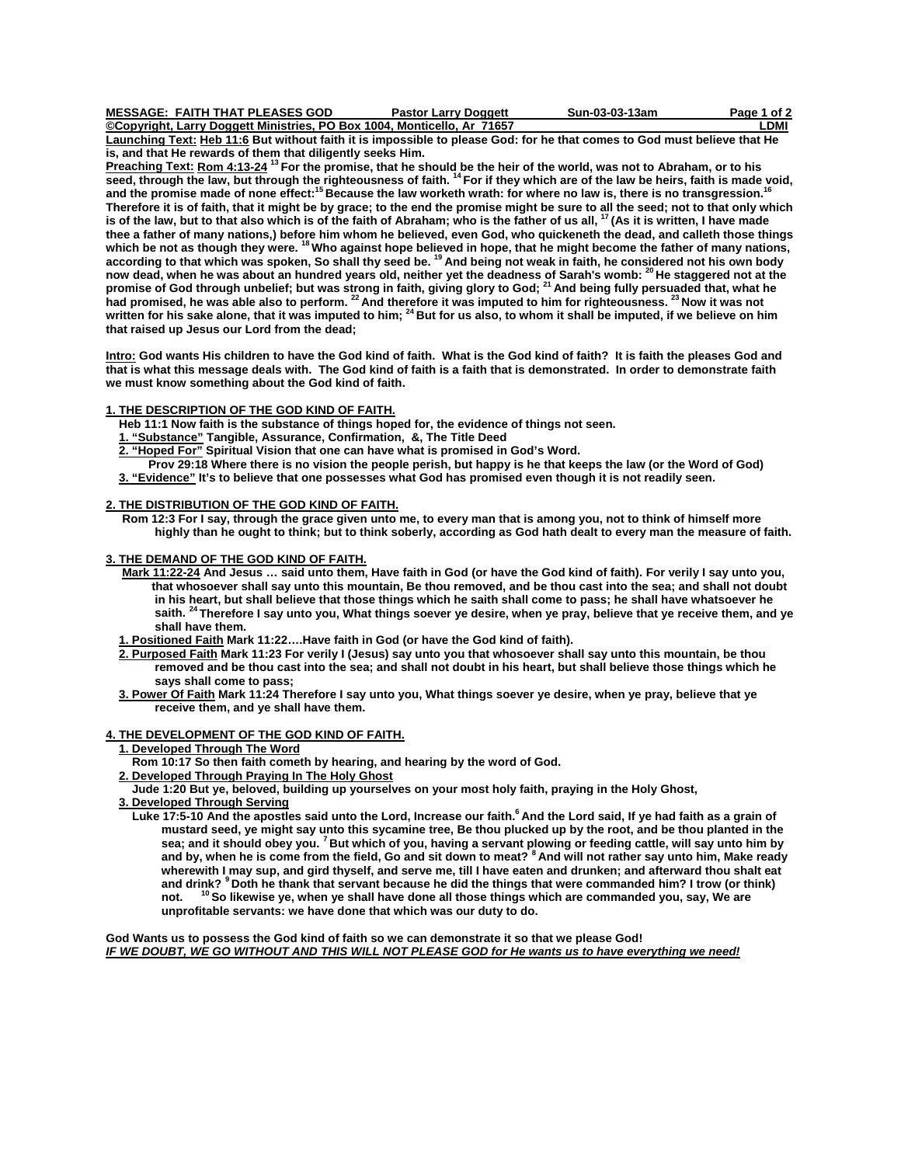| MESSAGE:  FAITH THAT PLEASES GOD                                         | <b>Pastor Larry Doggett</b> | Sun-03-03-13am | Page 1 of 2 |
|--------------------------------------------------------------------------|-----------------------------|----------------|-------------|
| ©Copyright, Larry Doggett Ministries, PO Box 1004, Monticello, Ar  71657 |                             |                | _DMI        |

**Launching Text: Heb 11:6 But without faith it is impossible to please God: for he that comes to God must believe that He is, and that He rewards of them that diligently seeks Him.** 

**Preaching Text: Rom 4:13-24 13 For the promise, that he should be the heir of the world, was not to Abraham, or to his**  seed, through the law, but through the righteousness of faith. <sup>14</sup> For if they which are of the law be heirs, faith is made void, and the promise made of none effect:<sup>15</sup> Because the law worketh wrath: for where no law is, there is no transgression.<sup>16</sup> **Therefore it is of faith, that it might be by grace; to the end the promise might be sure to all the seed; not to that only which**  is of the law, but to that also which is of the faith of Abraham; who is the father of us all, <sup>17</sup> (As it is written, I have made **thee a father of many nations,) before him whom he believed, even God, who quickeneth the dead, and calleth those things**  which be not as though they were. <sup>18</sup> Who against hope believed in hope, that he might become the father of many nations, **according to that which was spoken, So shall thy seed be. 19 And being not weak in faith, he considered not his own body now dead, when he was about an hundred years old, neither yet the deadness of Sarah's womb: 20 He staggered not at the promise of God through unbelief; but was strong in faith, giving glory to God; 21 And being fully persuaded that, what he had promised, he was able also to perform. 22 And therefore it was imputed to him for righteousness. 23 Now it was not**  written for his sake alone, that it was imputed to him; <sup>24</sup> But for us also, to whom it shall be imputed, if we believe on him **that raised up Jesus our Lord from the dead;** 

**Intro: God wants His children to have the God kind of faith. What is the God kind of faith? It is faith the pleases God and that is what this message deals with. The God kind of faith is a faith that is demonstrated. In order to demonstrate faith we must know something about the God kind of faith.** 

### **1. THE DESCRIPTION OF THE GOD KIND OF FAITH.**

 **Heb 11:1 Now faith is the substance of things hoped for, the evidence of things not seen.** 

 **1. "Substance" Tangible, Assurance, Confirmation, &, The Title Deed** 

 **2. "Hoped For" Spiritual Vision that one can have what is promised in God's Word.** 

 **Prov 29:18 Where there is no vision the people perish, but happy is he that keeps the law (or the Word of God) 3. "Evidence" It's to believe that one possesses what God has promised even though it is not readily seen.** 

# **2. THE DISTRIBUTION OF THE GOD KIND OF FAITH.**

 **Rom 12:3 For I say, through the grace given unto me, to every man that is among you, not to think of himself more highly than he ought to think; but to think soberly, according as God hath dealt to every man the measure of faith.** 

### **3. THE DEMAND OF THE GOD KIND OF FAITH.**

 **Mark 11:22-24 And Jesus … said unto them, Have faith in God (or have the God kind of faith). For verily I say unto you, that whosoever shall say unto this mountain, Be thou removed, and be thou cast into the sea; and shall not doubt in his heart, but shall believe that those things which he saith shall come to pass; he shall have whatsoever he saith. 24 Therefore I say unto you, What things soever ye desire, when ye pray, believe that ye receive them, and ye shall have them.** 

 **1. Positioned Faith Mark 11:22….Have faith in God (or have the God kind of faith).** 

 **2. Purposed Faith Mark 11:23 For verily I (Jesus) say unto you that whosoever shall say unto this mountain, be thou removed and be thou cast into the sea; and shall not doubt in his heart, but shall believe those things which he says shall come to pass;** 

 **3. Power Of Faith Mark 11:24 Therefore I say unto you, What things soever ye desire, when ye pray, believe that ye receive them, and ye shall have them.** 

# **4. THE DEVELOPMENT OF THE GOD KIND OF FAITH.**

### **1. Developed Through The Word**

- **Rom 10:17 So then faith cometh by hearing, and hearing by the word of God.**
- **2. Developed Through Praying In The Holy Ghost**

 **Jude 1:20 But ye, beloved, building up yourselves on your most holy faith, praying in the Holy Ghost,** 

- **3. Developed Through Serving**
	- Luke 17:5-10 And the apostles said unto the Lord, Increase our faith.<sup>6</sup> And the Lord said, If ye had faith as a grain of  **mustard seed, ye might say unto this sycamine tree, Be thou plucked up by the root, and be thou planted in the sea; and it should obey you. 7 But which of you, having a servant plowing or feeding cattle, will say unto him by and by, when he is come from the field, Go and sit down to meat? 8 And will not rather say unto him, Make ready wherewith I may sup, and gird thyself, and serve me, till I have eaten and drunken; and afterward thou shalt eat and drink? 9 Doth he thank that servant because he did the things that were commanded him? I trow (or think) not. 10 So likewise ye, when ye shall have done all those things which are commanded you, say, We are unprofitable servants: we have done that which was our duty to do.**

**God Wants us to possess the God kind of faith so we can demonstrate it so that we please God!**  *IF WE DOUBT, WE GO WITHOUT AND THIS WILL NOT PLEASE GOD for He wants us to have everything we need!*